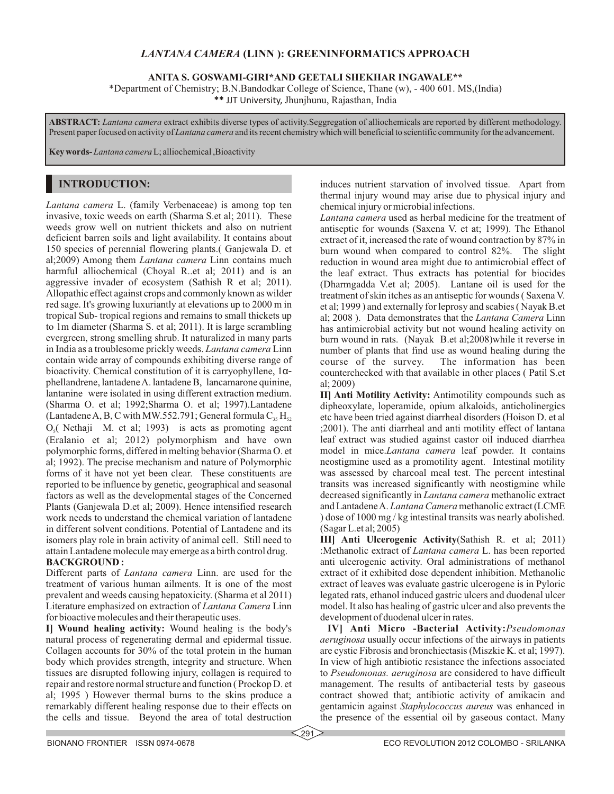## *LANTANA CAMERA* **(LINN ): GREENINFORMATICS APPROACH**

**ANITA S. GOSWAMI-GIRI\*AND GEETALI SHEKHAR INGAWALE\*\***

\*Department of Chemistry; B.N.Bandodkar College of Science, Thane (w), - 400 601. MS,(India)

**\*\*** JJT University, Jhunjhunu, Rajasthan, India

**ABSTRACT:** *Lantana camera* extract exhibits diverse types of activity.Seggregation of alliochemicals are reported by different methodology. Present paper focused on activity of *Lantana camera* and its recent chemistry which will beneficial to scientific community for the advancement.

**Key words-** *Lantana camera* L; alliochemical ,Bioactivity

# **INTRODUCTION:**

*Lantana camera* L. (family Verbenaceae) is among top ten invasive, toxic weeds on earth (Sharma S.et al; 2011). These weeds grow well on nutrient thickets and also on nutrient deficient barren soils and light availability. It contains about 150 species of perennial flowering plants.( Ganjewala D. et al;2009) Among them *Lantana camera* Linn contains much harmful alliochemical (Choyal R..et al; 2011) and is an aggressive invader of ecosystem (Sathish R et al; 2011). Allopathic effect against crops and commonly known as wilder red sage. It's growing luxuriantly at elevations up to 2000 m in tropical Sub- tropical regions and remains to small thickets up to 1m diameter (Sharma S. et al; 2011). It is large scrambling evergreen, strong smelling shrub. It naturalized in many parts in India as a troublesome prickly weeds. *Lantana camera* Linn contain wide array of compounds exhibiting diverse range of bioactivity. Chemical constitution of it is carryophyllene, 1αphellandrene, lantadene A. lantadene B, lancamarone quinine, lantanine were isolated in using different extraction medium. (Sharma O. et al; 1992;Sharma O. et al; 1997).Lantadene (Lantadene A, B, C with MW.552.791; General formula  $C_3$ , H<sub>52</sub>  $O<sub>s</sub>$  (Nethaji M. et al; 1993) is acts as promoting agent (Eralanio et al; 2012) polymorphism and have own polymorphic forms, differed in melting behavior (Sharma O. et al; 1992). The precise mechanism and nature of Polymorphic forms of it have not yet been clear. These constituents are reported to be influence by genetic, geographical and seasonal factors as well as the developmental stages of the Concerned Plants (Ganjewala D.et al; 2009). Hence intensified research work needs to understand the chemical variation of lantadene in different solvent conditions. Potential of Lantadene and its isomers play role in brain activity of animal cell. Still need to attain Lantadene molecule may emerge as a birth control drug.

#### **BACKGROUND :**

Different parts of *Lantana camera* Linn. are used for the treatment of various human ailments. It is one of the most prevalent and weeds causing hepatoxicity. (Sharma et al 2011) Literature emphasized on extraction of *Lantana Camera* Linn for bioactive molecules and their therapeutic uses.

**I] Wound healing activity:** Wound healing is the body's natural process of regenerating dermal and epidermal tissue. Collagen accounts for 30% of the total protein in the human body which provides strength, integrity and structure. When tissues are disrupted following injury, collagen is required to repair and restore normal structure and function ( Prockop D. et al; 1995 ) However thermal burns to the skins produce a remarkably different healing response due to their effects on the cells and tissue. Beyond the area of total destruction

induces nutrient starvation of involved tissue. Apart from thermal injury wound may arise due to physical injury and chemical injury or microbial infections.

*Lantana camera* used as herbal medicine for the treatment of antiseptic for wounds (Saxena V. et at; 1999). The Ethanol extract of it, increased the rate of wound contraction by 87% in burn wound when compared to control 82%. The slight reduction in wound area might due to antimicrobial effect of the leaf extract. Thus extracts has potential for biocides (Dharmgadda V.et al; 2005). Lantane oil is used for the treatment of skin itches as an antiseptic for wounds ( Saxena V. et al; 1999 ) and externally for leprosy and scabies ( Nayak B.et al; 2008 ). Data demonstrates that the *Lantana Camera* Linn has antimicrobial activity but not wound healing activity on burn wound in rats. (Nayak B.et al;2008)while it reverse in number of plants that find use as wound healing during the course of the survey. The information has been counterchecked with that available in other places ( Patil S.et al; 2009)

**II] Anti Motility Activity:** Antimotility compounds such as dipheoxylate, loperamide, opium alkaloids, anticholinergics etc have been tried against diarrheal disorders (Hoison D. et al ;2001). The anti diarrheal and anti motility effect of lantana leaf extract was studied against castor oil induced diarrhea model in mice.*Lantana camera* leaf powder. It contains neostigmine used as a promotility agent. Intestinal motility was assessed by charcoal meal test. The percent intestinal transits was increased significantly with neostigmine while decreased significantly in *Lantana camera* methanolic extract and Lantadene A. *Lantana Camera* methanolic extract (LCME ) dose of 1000 mg / kg intestinal transits was nearly abolished. (Sagar L.et al; 2005)

**III] Anti Ulcerogenic Activity**(Sathish R. et al; 2011) :Methanolic extract of *Lantana camera* L. has been reported anti ulcerogenic activity. Oral administrations of methanol extract of it exhibited dose dependent inhibition. Methanolic extract of leaves was evaluate gastric ulcerogene is in Pyloric legated rats, ethanol induced gastric ulcers and duodenal ulcer model. It also has healing of gastric ulcer and also prevents the development of duodenal ulcer in rates.

**IV] Anti Micro -Bacterial Activity:***Pseudomonas aeruginosa* usually occur infections of the airways in patients are cystic Fibrosis and bronchiectasis (Miszkie K. et al; 1997). In view of high antibiotic resistance the infections associated to *Pseudomonas. aeruginosa* are considered to have difficult management. The results of antibacterial tests by gaseous contract showed that; antibiotic activity of amikacin and gentamicin against *Staphylococcus aureus* was enhanced in the presence of the essential oil by gaseous contact. Many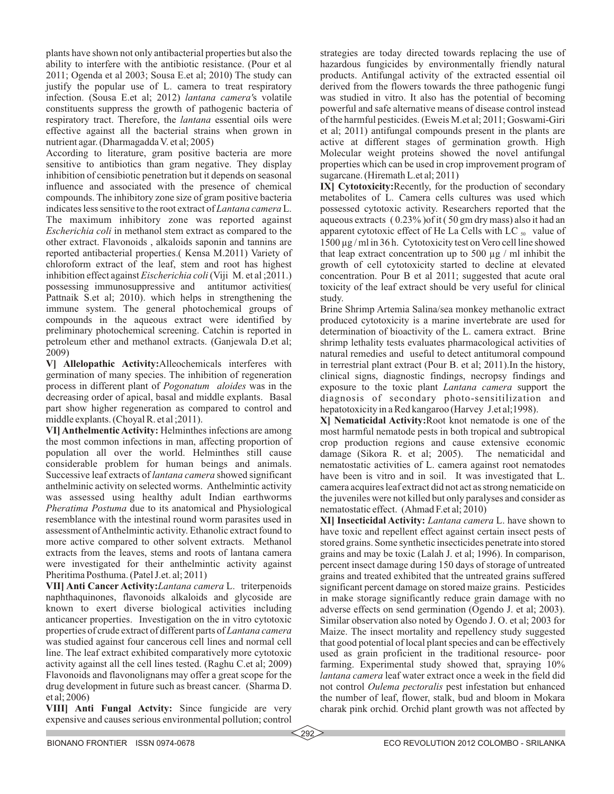plants have shown not only antibacterial properties but also the ability to interfere with the antibiotic resistance. (Pour et al 2011; Ogenda et al 2003; Sousa E.et al; 2010) The study can justify the popular use of L. camera to treat respiratory infection. (Sousa E.et al; 2012) *lantana camera'*s volatile constituents suppress the growth of pathogenic bacteria of respiratory tract. Therefore, the *lantana* essential oils were effective against all the bacterial strains when grown in nutrient agar. (Dharmagadda V. et al; 2005)

According to literature, gram positive bacteria are more sensitive to antibiotics than gram negative. They display inhibition of censibiotic penetration but it depends on seasonal influence and associated with the presence of chemical compounds. The inhibitory zone size of gram positive bacteria indicates less sensitive to the root extract of *Lantana camera* L. The maximum inhibitory zone was reported against *Escherichia coli* in methanol stem extract as compared to the other extract. Flavonoids , alkaloids saponin and tannins are reported antibacterial properties.( Kensa M.2011) Variety of chloroform extract of the leaf, stem and root has highest inhibition effect against *Eischerichia coli* (Viji M. et al ;2011.) possessing immunosuppressive and antitumor activities( Pattnaik S.et al; 2010). which helps in strengthening the immune system. The general photochemical groups of compounds in the aqueous extract were identified by preliminary photochemical screening. Catchin is reported in petroleum ether and methanol extracts. (Ganjewala D.et al; 2009)

**V] Allelopathic Activity:**Alleochemicals interferes with germination of many species. The inhibition of regeneration process in different plant of *Pogonatum aloides* was in the decreasing order of apical, basal and middle explants. Basal part show higher regeneration as compared to control and middle explants. (Choyal R. et al ;2011).

**VI] Anthelmentic Activity:** Helminthes infections are among the most common infections in man, affecting proportion of population all over the world. Helminthes still cause considerable problem for human beings and animals. Successive leaf extracts of *lantana camera* showed significant anthelminic activity on selected worms. Anthelmintic activity was assessed using healthy adult Indian earthworms *Pheratima Postuma* due to its anatomical and Physiological resemblance with the intestinal round worm parasites used in assessment of Anthelmintic activity. Ethanolic extract found to more active compared to other solvent extracts. Methanol extracts from the leaves, stems and roots of lantana camera were investigated for their anthelmintic activity against Pheritima Posthuma. (Patel J.et. al; 2011)

**VII] Anti Cancer Activity:***Lantana camera* L. triterpenoids naphthaquinones, flavonoids alkaloids and glycoside are known to exert diverse biological activities including anticancer properties. Investigation on the in vitro cytotoxic properties of crude extract of different parts of *Lantana camera* was studied against four cancerous cell lines and normal cell line. The leaf extract exhibited comparatively more cytotoxic activity against all the cell lines tested. (Raghu C.et al; 2009) Flavonoids and flavonolignans may offer a great scope for the drug development in future such as breast cancer. (Sharma D. et al; 2006)

**VIII] Anti Fungal Actvity:** Since fungicide are very expensive and causes serious environmental pollution; control strategies are today directed towards replacing the use of hazardous fungicides by environmentally friendly natural products. Antifungal activity of the extracted essential oil derived from the flowers towards the three pathogenic fungi was studied in vitro. It also has the potential of becoming powerful and safe alternative means of disease control instead of the harmful pesticides. (Eweis M.et al; 2011; Goswami-Giri et al; 2011) antifungal compounds present in the plants are active at different stages of germination growth. High Molecular weight proteins showed the novel antifungal properties which can be used in crop improvement program of sugarcane. (Hiremath L.et al; 2011)

**IX] Cytotoxicity:**Recently, for the production of secondary metabolites of L. Camera cells cultures was used which possessed cytotoxic activity. Researchers reported that the aqueous extracts ( 0.23% )of it ( 50 gm dry mass) also it had an apparent cytotoxic effect of He La Cells with LC  $_{50}$  value of 1500 µg / ml in 36 h. Cytotoxicity test on Vero cell line showed that leap extract concentration up to 500  $\mu$ g / ml inhibit the growth of cell cytotoxicity started to decline at elevated concentration. Pour B et al 2011; suggested that acute oral toxicity of the leaf extract should be very useful for clinical study.

Brine Shrimp Artemia Salina/sea monkey methanolic extract produced cytotoxicity is a marine invertebrate are used for determination of bioactivity of the L. camera extract. Brine shrimp lethality tests evaluates pharmacological activities of natural remedies and useful to detect antitumoral compound in terrestrial plant extract (Pour B. et al; 2011).In the history, clinical signs, diagnostic findings, necropsy findings and exposure to the toxic plant *Lantana camera* support the diagnosis of secondary photo-sensitilization and hepatotoxicity in a Red kangaroo (Harvey J.et al;1998).

**X] Nematicidal Activity:**Root knot nematode is one of the most harmful nematode pests in both tropical and subtropical crop production regions and cause extensive economic damage (Sikora R. et al; 2005). The nematicidal and nematostatic activities of L. camera against root nematodes have been is vitro and in soil. It was investigated that L. camera acquiresleaf extract did not act as strong nematicide on the juveniles were not killed but only paralyses and consider as nematostatic effect. (Ahmad F.et al; 2010)

**XI] Insecticidal Activity:** *Lantana camera* L. have shown to have toxic and repellent effect against certain insect pests of stored grains. Some synthetic insecticides penetrate into stored grains and may be toxic (Lalah J. et al; 1996). In comparison, percent insect damage during 150 days of storage of untreated grains and treated exhibited that the untreated grains suffered significant percent damage on stored maize grains. Pesticides in make storage significantly reduce grain damage with no adverse effects on send germination (Ogendo J. et al; 2003). Similar observation also noted by Ogendo J. O. et al; 2003 for Maize. The insect mortality and repellency study suggested that good potential of local plant species and can be effectively used as grain proficient in the traditional resource- poor farming. Experimental study showed that, spraying  $10\%$ *lantana camera* leaf water extract once a week in the field did not control *Oulema pectoralis* pest infestation but enhanced the number of leaf, flower, stalk, bud and bloom in Mokara charak pink orchid. Orchid plant growth was not affected by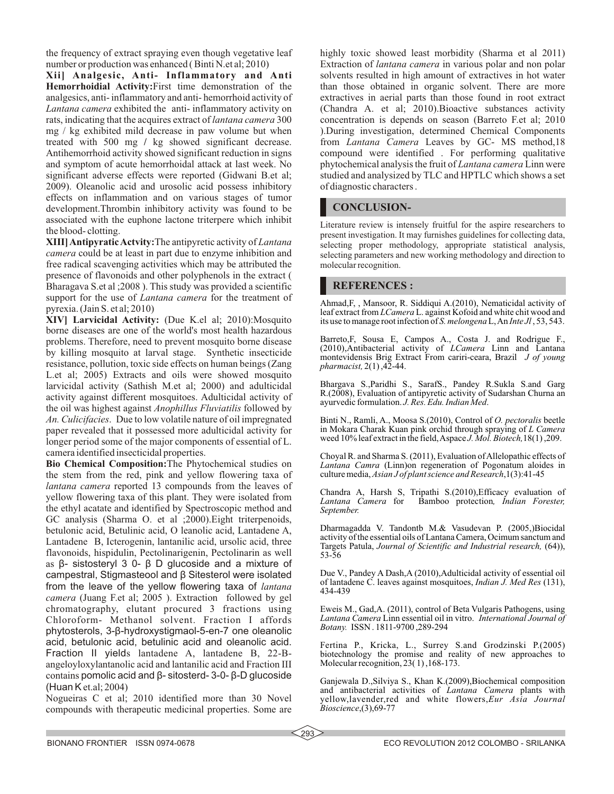the frequency of extract spraying even though vegetative leaf number or production was enhanced ( Binti N.et al; 2010)

**Xii] Analgesic, Anti- Inflammatory and Anti Hemorrhoidial Activity:**First time demonstration of the analgesics, anti- inflammatory and anti- hemorrhoid activity of *Lantana camera* exhibited the anti- inflammatory activity on rats, indicating that the acquires extract of *lantana camera* 300 mg / kg exhibited mild decrease in paw volume but when treated with 500 mg **/** kg showed significant decrease. Antihemorrhoid activity showed significant reduction in signs and symptom of acute hemorrhoidal attack at last week. No significant adverse effects were reported (Gidwani B.et al; 2009). Oleanolic acid and urosolic acid possess inhibitory effects on inflammation and on various stages of tumor development.Thrombin inhibitory activity was found to be associated with the euphone lactone triterpere which inhibit the blood- clotting.

**XIII] Antipyratic Actvity:**The antipyretic activity of *Lantana camera* could be at least in part due to enzyme inhibition and free radical scavenging activities which may be attributed the presence of flavonoids and other polyphenols in the extract ( Bharagava S.et al ;2008 ). This study was provided a scientific support for the use of *Lantana camera* for the treatment of pyrexia. (Jain S. et al; 2010)

**XIV] Larvicidal Activity:** (Due K.el al; 2010):Mosquito borne diseases are one of the world's most health hazardous problems. Therefore, need to prevent mosquito borne disease by killing mosquito at larval stage. Synthetic insecticide resistance, pollution, toxic side effects on human beings (Zang L.et al; 2005) Extracts and oils were showed mosquito larvicidal activity (Sathish M.et al; 2000) and adulticidal activity against different mosquitoes. Adulticidal activity of the oil was highest against *Anophillus Fluviatilis* followed by *An. Culicifacies*. Due to low volatile nature of oil impregnated paper revealed that it possessed more adulticidal activity for longer period some of the major components of essential of L. camera identified insecticidal properties.

**Bio Chemical Composition:**The Phytochemical studies on the stem from the red, pink and yellow flowering taxa of *lantana camera* reported 13 compounds from the leaves of yellow flowering taxa of this plant. They were isolated from the ethyl acatate and identified by Spectroscopic method and GC analysis (Sharma O. et al ;2000).Eight triterpenoids, betulonic acid, Betulinic acid, O leanolic acid, Lantadene A, Lantadene B, Icterogenin, lantanilic acid, ursolic acid, three flavonoids, hispidulin, Pectolinarigenin, Pectolinarin as well as β- sistosteryl 3 0- β D glucoside and a mixture of campestral, Stigmasteool and β Sitesterol were isolated from the leave of the yellow flowering taxa of *lantana camera* (Juang F.et al; 2005 ). Extraction followed by gel chromatography, elutant procured 3 fractions using Chloroform- Methanol solvent. Fraction I affords phytosterols, 3-β-hydroxystigmaol-5-en-7 one oleanolic acid, betulonic acid, betulinic acid and oleanolic acid. Fraction II yields lantadene A, lantadene B, 22-Bangeloyloxylantanolic acid and lantanilic acid and Fraction III contains pomolic acid and β- sitosterd- 3-0- β-D glucoside (Huan K et.al; 2004)

Nogueiras C et al; 2010 identified more than 30 Novel compounds with therapeutic medicinal properties. Some are

highly toxic showed least morbidity (Sharma et al 2011) Extraction of *lantana camera* in various polar and non polar solvents resulted in high amount of extractives in hot water than those obtained in organic solvent. There are more extractives in aerial parts than those found in root extract (Chandra A. et al; 2010).Bioactive substances activity concentration is depends on season (Barreto F.et al; 2010 ).During investigation, determined Chemical Components from *Lantana Camera* Leaves by GC- MS method,18 compound were identified . For performing qualitative phytochemical analysis the fruit of *Lantana camera* Linn were studied and analysized by TLC and HPTLC which shows a set of diagnostic characters .

## **CONCLUSION-**

Literature review is intensely fruitful for the aspire researchers to present investigation. It may furnishes guidelines for collecting data, selecting proper methodology, appropriate statistical analysis, selecting parameters and new working methodology and direction to molecular recognition.

## **REFERENCES :**

Ahmad,F, , Mansoor, R. Siddiqui A.(2010), Nematicidal activity of leaf extract from *LCamera* L. against Kofoid and white chit wood and its use to manage root infection of *S. melongena*L, An *Inte Jl* , 53, 543.

Barreto,F, Sousa E, Campos A., Costa J. and Rodrigue F., (2010),Antibacterial activity of *LCamera* Linn and Lantana montevidensis Brig Extract From cariri-ceara, Brazil *J of young pharmacist,* 2(1) ,42-44.

Bhargava S.,Paridhi S., SarafS., Pandey R.Sukla S.and Garg R.(2008), Evaluation of antipyretic activity of Sudarshan Churna an ayurvedic formulation. *J. Res. Edu. Indian Med*.

Binti N., Ramli, A., Moosa S.(2010), Control of *O. pectoralis* beetle in Mokara Charak Kuan pink orchid through spraying of *L Camera* weed 10% leaf extract in the field, Aspace *J. Mol. Biotech,*18(1) ,209.

Choyal R. and Sharma S. (2011), Evaluation of Allelopathic effects of *Lantana Camra* (Linn)on regeneration of Pogonatum aloides in culture media, *Asian J of plant science and Research*,1(3):41-45

Chandra A, Harsh S, Tripathi S.(2010), Efficacy evaluation of Lantana Camera for Bamboo protection, Indian Forester,  $B$ amboo protection, *Indian Forester*, *September.* 

Dharmagadda V. Tandontb M.& Vasudevan P. (2005,)Biocidal activity of the essential oils of Lantana Camera, Ocimum sanctum and Targets Patula, *Journal of Scientific and Industrial research,* (64)), 53-56

Due V., Pandey A Dash,A (2010),Adulticidal activity of essential oil of lantadene C. leaves against mosquitoes, *Indian J. Med Res* (131), 434-439

Eweis M., Gad,A. (2011), control of Beta Vulgaris Pathogens, using *Lantana Camera* Linn essential oil in vitro. *International Journal of Botany.* ISSN . 1811-9700 ,289-294

Fertina P., Kricka, L., Surrey S.and Grodzinski P.(2005) biotechnology the promise and reality of new approaches to Molecular recognition, 23( 1) ,168-173.

Ganjewala D.,Silviya S., Khan K.(2009),Biochemical composition and antibacterial activities of *Lantana Camera* plants with yellow,lavender,red and white flowers,*Eur Asia Journal Bioscience*,(3),69-77